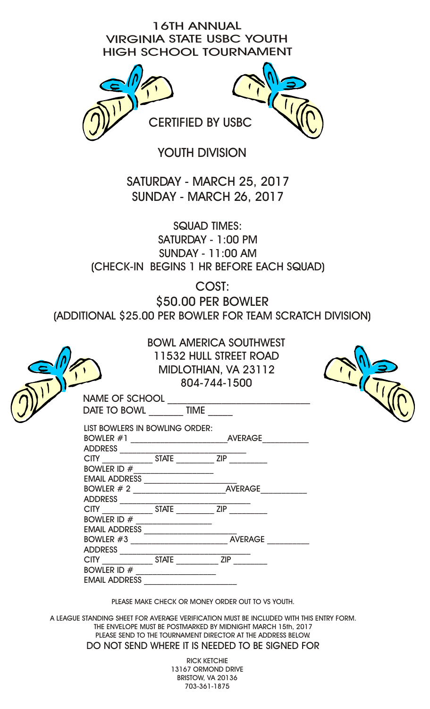16TH ANNUAL VIRGINIA STATE USBC YOUTH HIGH SCHOOL TOURNAMENT



YOUTH DIVISION

SATURDAY - MARCH 25, 2017 SUNDAY - MARCH 26, 2017

SQUAD TIMES: SATURDAY - 1:00 PM SUNDAY - 11:00 AM (CHECK-IN BEGINS 1 HR BEFORE EACH SQUAD)

COST:

\$50.00 PER BOWLER

(ADDITIONAL \$25.00 PER BOWLER FOR TEAM SCRATCH DIVISION)

|                                        | 804-744-1500 | <b>BOWL AMERICA SOUTHWEST</b><br>11532 HULL STREET ROAD<br>MIDLOTHIAN, VA 23112 |  |
|----------------------------------------|--------------|---------------------------------------------------------------------------------|--|
| DATE TO BOWL TIME                      |              | NAME OF SCHOOL                                                                  |  |
| LIST BOWLERS IN BOWLING ORDER:         |              |                                                                                 |  |
| BOWLER ID #____________________        |              |                                                                                 |  |
|                                        |              | EMAIL ADDRESS<br>BOWLER # 2                                                     |  |
|                                        |              |                                                                                 |  |
|                                        |              |                                                                                 |  |
| BOWLER ID $\#$<br><b>EMAIL ADDRESS</b> |              |                                                                                 |  |
|                                        |              | PLEASE MAKE CHECK OR MONEY ORDER OUT TO VS YOUTH.                               |  |

A LEAGUE STANDING SHEET FOR AVERAGE VERIFICATION MUST BE INCLUDED WITH THIS ENTRY FORM. THE ENVELOPE MUST BE POSTMARKED BY MIDNIGHT MARCH 15th, 2017 PLEASE SEND TO THE TOURNAMENT DIRECTOR AT THE ADDRESS BELOW. DO NOT SEND WHERE IT IS NEEDED TO BE SIGNED FOR

> RICK KETCHIE 13167 ORMOND DRIVE BRISTOW, VA 20136 703-361-1875